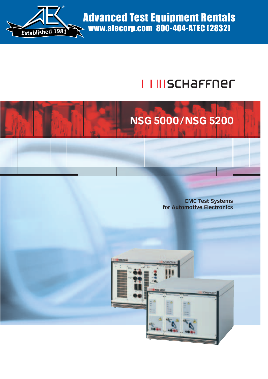

Advanced Test Equipment Rentals www.atecorp.com 800-404-ATEC (2832)

# **I III SCHAFFNEL** I



**EMC Test Systems for Automotive Electronics**

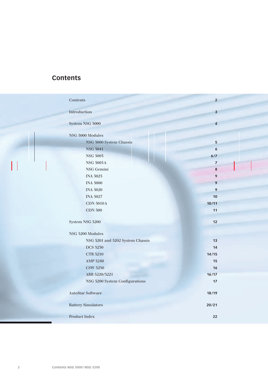# **Contents**

| Contents                         | $\overline{2}$          |  |
|----------------------------------|-------------------------|--|
| Introduction                     | $\mathbf{3}$            |  |
| System NSG 5000                  | $\overline{\mathbf{4}}$ |  |
| NSG 5000 Modules                 |                         |  |
| NSG 5000 System Chassis          | $\overline{\mathbf{5}}$ |  |
| <b>NSG 5041</b>                  | $\boldsymbol{6}$        |  |
| <b>NSG 5003</b>                  | 6/7                     |  |
| NSG $5005\,\mathrm{A}$           | $\overline{7}$          |  |
| NSG Gemini                       | ${\bf 8}$               |  |
| <b>INA 5025</b>                  | 9                       |  |
| <b>INA 5000</b>                  | 9                       |  |
| <b>INA 5020</b>                  | $\mathbf{9}$            |  |
| <b>INA 5027</b>                  | 10                      |  |
| <b>CDN 5010A</b>                 | 10/11                   |  |
| <b>CDN 500</b>                   | 11                      |  |
| System NSG 5200                  | 12                      |  |
| NSG 5200 Modules                 |                         |  |
| NSG 5201 and 5202 System Chassis | 13                      |  |
| <b>DCS 5230</b>                  | 14                      |  |
| <b>CTR 5210</b>                  | 14/15                   |  |
| AMP 5240                         | 15                      |  |
| <b>CSW 5250</b>                  | 16                      |  |
| ARB 5220/5221                    | 16/17                   |  |
| NSG 5200 System Configurations   | 17                      |  |
| <b>AutoStar Software</b>         | 18/19                   |  |
| <b>Battery Simulators</b>        | 20/21                   |  |
| Product Index                    | 22                      |  |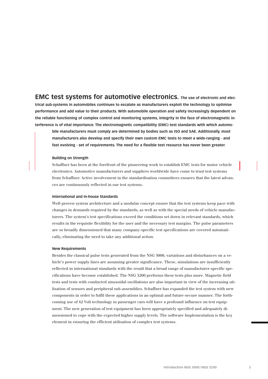**EMC test systems for automotive electronics. The use of electronic and electrical sub-systems in automobiles continues to escalate as manufacturers exploit the technology to optimise performance and add value to their products. With automobile operation and safety increasingly dependent on the reliable functioning of complex control and monitoring systems, integrity in the face of electromagnetic interference is of vital importance. The electromagnetic compatibility (EMC) test standards with which automo-**

**bile manufacturers must comply are determined by bodies such as ISO and SAE. Additionally, most manufacturers also develop and specify their own custom EMC tests to meet a wide-ranging - and fast evolving - set of requirements. The need for a flexible test resource has never been greater.**

#### **Building on Strength**

Schaffner has been at the forefront of the pioneering work to establish EMC tests for motor vehicle electronics. Automotive manufacturers and suppliers worldwide have come to trust test systems from Schaffner. Active involvement in the standardisation committees ensures that the latest advances are continuously reflected in our test systems.

#### **International and In-house Standards**

Well-proven system architecture and a modular concept ensure that the test systems keep pace with changes in demands required by the standards, as well as with the special needs of vehicle manufacturers. The system's test specifications exceed the conditions set down in relevant standards, which results in the requisite flexibility for the user and the necessary test margins. The pulse parameters are so broadly dimensioned that many company-specific test specifications are covered automatically, eliminating the need to take any additional action.

#### **New Requirements**

Besides the classical pulse tests generated from the NSG 5000, variations and disturbances on a vehicle's power supply lines are assuming greater significance. These, simulations are insufficiently reflected in international standards with the result that a broad range of manufacturer-specific specifications have become established. The NSG 5200 performs these tests plus more. Magnetic field tests and tests with conducted sinusoidal oscillations are also important in view of the increasing utilisation of sensors and peripheral sub-assemblies. Schaffner has expanded the test system with new components in order to fulfil these applications in an optimal and future-secure manner. The forthcoming use of 42 Volt technology in passenger cars will have a profound influence on test equipment. The new generation of test equipment has been appropriately specified and adequately dimensioned to cope with the expected higher supply levels. The software Implementation is the key element in ensuring the efficient utilisation of complex test systems.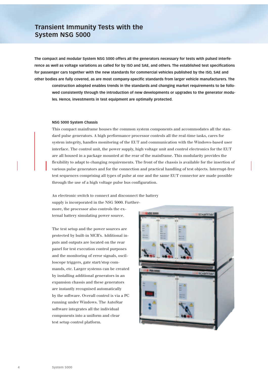**The compact and modular System NSG 5000 offers all the generators necessary for tests with pulsed interference as well as voltage variations as called for by ISO and SAE, and others. The established test specifications for passenger cars together with the new standards for commercial vehicles published by the ISO, SAE and other bodies are fully covered, as are most company-specific standards from larger vehicle manufacturers. The**

**construction adopted enables trends in the standards and changing market requirements to be followed consistently through the introduction of new developments or upgrades to the generator modules. Hence, investments in test equipment are optimally protected.**

#### **NSG 5000 System Chassis**

This compact mainframe houses the common system components and accommodates all the standard pulse generators. A high performance processor controls all the real-time tasks, cares for system integrity, handles monitoring of the EUT and communication with the Windows-based user interface. The control unit, the power supply, high voltage unit and control electronics for the EUT are all housed in a package mounted at the rear of the mainframe. This modularity provides the flexibility to adapt to changing requirements. The front of the chassis is available for the insertion of various pulse generators and for the connection and practical handling of test objects. Interrupt-free test sequences comprising all types of pulse at one and the same EUT connector are made possible through the use of a high voltage pulse bus configuration.

An electronic switch to connect and disconnect the battery supply is incorporated in the NSG 5000. Furthermore, the processor also controls the ex-

ternal battery simulating power source.

The test setup and the power sources are protected by built-in MCB's. Additional inputs and outputs are located on the rear panel for test execution control purposes and the monitoring of error signals, oscilloscope triggers, gate start/stop commands, etc. Larger systems can be created by installing additional generators in an expansion chassis and these generators are instantly recognised automatically by the software. Overall control is via a PC running under Windows. The AutoStar software integrates all the individual components into a uniform and clear test setup control platform.

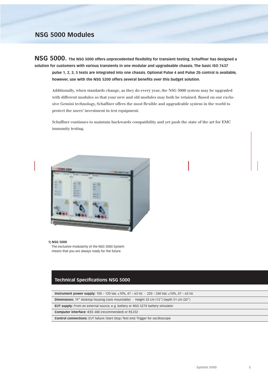**NSG 5000. The NSG 5000 offers unprecedented flexibility for transient testing. Schaffner has designed a solution for customers with various transients in one modular and upgradeable chassis. The basic ISO 7637 pulse 1, 2, 3, 5 tests are integrated into one chassis. Optional Pulse 4 and Pulse 2b control is available, however, use with the NSG 5200 offers several benefits over this budget solution.**

Additionally, when standards change, as they do every year, the NSG 5000 system may be upgraded with different modules so that your new and old modules may both be retained. Based on our exclusive Gemini technology, Schaffner offers the most flexible and upgradeable system in the world to protect the users' investment in test equipment.

Schaffner continues to maintain backwards compatibility and yet push the state of the art for EMC immunity testing.



#### **1| NSG 5000**

The exclusive modularity of the NSG 5000 System means that you are always ready for the future.

### **Technical Specifications NSG 5000**

**Instrument power supply:** 100 – 120 Vac ±10%, 47 – 63 Hz · 220 – 240 Vac ±10%, 47 – 63 Hz **Dimensions:** 19" desktop housing (rack mountable) · Height 33 cm (13") Depth 51 cm (20") **EUT supply:** From an external source, e.g. battery or NSG 527X battery simulator **Computer interface:** IEEE 488 (recommended) or RS232 **Control connections:** EUT failure/Start-Stop/Test end/Trigger for oscilloscope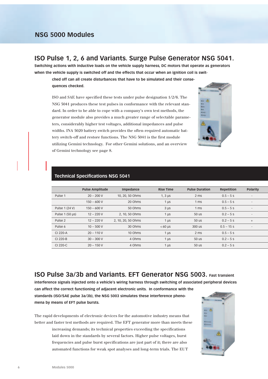## **ISO Pulse 1, 2, 6 and Variants. Surge Pulse Generator NSG 5041.**

**Switching actions with inductive loads on the vehicle supply harness, DC motors that operate as generators when the vehicle supply is switched off and the effects that occur when an ignition coil is swit-**

**ched off can all create disturbances that have to be simulated and their consequences checked.**

ISO and SAE have specified these tests under pulse designation 1/2/6. The NSG 5041 produces these test pulses in conformance with the relevant standard. In order to be able to cope with a company's own test methods, the generator module also provides a much greater range of selectable parameters, considerably higher test voltages, additional impedances and pulse widths. INA 5020 battery switch provides the often-required automatic battery switch-off and restore functions. The NSG 5041 is the first module utilizing Gemini technology. For other Gemini solutions, and an overview of Gemini technology see page 8.



### **Technical Specifications NSG 5041**

|                    | <b>Pulse Amplitude</b> | Impedance          | <b>Rise Time</b>           | <b>Pulse Duration</b> | Repetition   | Polarity                 |  |
|--------------------|------------------------|--------------------|----------------------------|-----------------------|--------------|--------------------------|--|
| Pulse 1            | $20 - 200 V$           | 10, 20, 50 Ohms    | $1, 3 \mu s$               | 2 ms                  | $0.5 - 5s$   | $\overline{\phantom{a}}$ |  |
|                    | $150 - 600 V$          | 20 Ohms            | $1 \mu s$                  | 1 <sub>ms</sub>       | $0.5 - 5s$   | $\overline{\phantom{a}}$ |  |
| Pulse 1 (24 V)     | $150 - 600 V$          | 50 Ohms            | $3 \mu s$                  | 1 <sub>ms</sub>       | $0.5 - 5s$   | $\overline{\phantom{a}}$ |  |
| Pulse 1 (50 µs)    | $12 - 220V$            | 2, 10, 50 Ohms     | $1 \mu s$                  | 50 us                 | $0.2 - 5s$   | $\overline{\phantom{a}}$ |  |
| Pulse <sub>2</sub> | $12 - 220V$            | 2, 10, 20, 50 Ohms | $1 \mu s$                  | 50 us                 | $0.2 - 5s$   | $+$                      |  |
| Pulse 6            | $10 - 500 V$           | 30 Ohms            | $< 60 \text{ }\mu\text{s}$ | 300 us                | $0.5 - 15$ s | $\overline{\phantom{a}}$ |  |
| CI 220-A           | $20 - 110V$            | 10 Ohms            | $1 \mu s$                  | 2 <sub>ms</sub>       | $0.5 - 5s$   |                          |  |
| CI 220-B           | $30 - 300 V$           | 4 Ohms             | $1 \mu s$                  | 50 us                 | $0.2 - 5s$   |                          |  |
| CI 220-C           | $20 - 150V$            | 4 Ohms             | $1 \mu s$                  | 50 us                 | $0.2 - 5s$   |                          |  |

**ISO Pulse 3a/3b and Variants. EFT Generator NSG 5003. Fast transient**

**interference signals injected onto a vehicle's wiring harness through switching of associated peripheral devices can affect the correct functioning of adjacent electronic units. In conformance with the standards (ISO/SAE pulse 3a/3b), the NSG 5003 simulates these interference pheno-**

**mena by means of EFT pulse bursts.**

The rapid developments of electronic devices for the automotive industry means that better and faster test methods are required. The EFT generator more than meets these increasing demands; its technical properties exceeding the specifications

> laid down in the standards by several factors. Higher pulse voltages, burst frequencies and pulse burst specifications are just part of it; there are also automated functions for weak spot analyses and long-term trials. The EUT

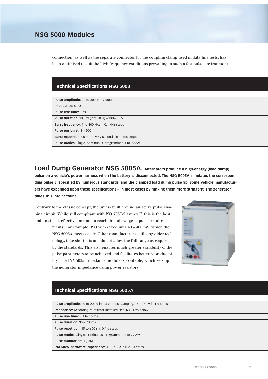connection, as well as the separate connector for the coupling clamp used in data line tests, has been optimised to suit the high frequency conditions prevailing in such a fast pulse environment.

### **Technical Specifications NSG 5003**

| <b>Pulse amplitude:</b> 20 to 800 in 1 V steps                |
|---------------------------------------------------------------|
| Impedance: 50 $\Omega$                                        |
| <b>Pulse rise time: 5 ns</b>                                  |
| <b>Pulse duration:</b> 100 ns (into 50 $\Omega$ ) + 100/-0 uS |
| Burst frequency: 1 to 100 kHz in 0.1 kHz steps                |
| Pulse per burst: $1 - 200$                                    |
| <b>Burst repetition:</b> 90 ms to 99.9 seconds in 10 ms steps |
| Pulse modes: Single, continuous, programmed 1 to 99999        |
|                                                               |

**Load Dump Generator NSG 5005A. Alternators produce a high-energy (load dump) pulse on a vehicle's power harness when the battery is disconnected. The NSG 5005A simulates the corresponding pulse 5, specified by numerous standards, and the clamped load dump pulse 5b. Some vehicle manufacturers have expanded upon these specifications – in most cases by making them more stringent. The generator takes this into account.**

Contrary to the classic concept, the unit is built around an active pulse shaping circuit. While still compliant with ISO 7637-2 Annex E, this is the best and most cost-effective method to reach the full range of pulse require-

> ments. For example, ISO 7637-2 requires 40 – 400 mS, which the NSG 5005A meets easily. Other manufacturers, utilizing older technology, take shortcuts and do not allow the full range as required by the standards. This also enables much greater variability of the pulse parameters to be achieved and facilitates better reproducibility. The INA 5025 impedance module is available, which sets up the generator impedance using power resistors.



### **Technical Specifications NSG 5005A**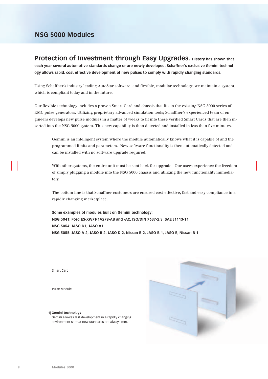**Protection of Investment through Easy Upgrades. History has shown that each year several automotive standards change or are newly developed. Schaffner's exclusive Gemini technology allows rapid, cost effective development of new pulses to comply with rapidly changing standards.**

Using Schaffner's industry leading AutoStar software, and flexible, modular technology, we maintain a system, which is compliant today and in the future.

Our flexible technology includes a proven Smart Card and chassis that fits in the existing NSG 5000 series of EMC pulse generators. Utilizing proprietary advanced simulation tools; Schaffner's experienced team of engineers develops new pulse modules in a matter of weeks to fit into these verified Smart Cards that are then inserted into the NSG 5000 system. This new capability is then detected and installed in less than five minutes.

Gemini is an intelligent system where the module automatically knows what it is capable of and the programmed limits and parameters. New software functionality is then automatically detected and can be installed with no software upgrade required.

With other systems, the entire unit must be sent back for upgrade. Our users experience the freedom of simply plugging a module into the NSG 5000 chassis and utilizing the new functionality immediately.

The bottom line is that Schaffner customers are ensured cost-effective, fast and easy compliance in a rapidly changing marketplace.

**Some examples of modules built on Gemini technology: NSG 5041: Ford ES-XW7T-1A278-AB and -AC, ISO/DIN 7637-2.3, SAE J1113-11 NSG 5054: JASO D1, JASO A1 NSG 5055: JASO A-2, JASO B-2, JASO D-2, Nissan B-2, JASO B-1, JASO E, Nissan B-1**

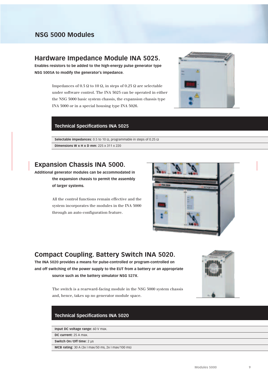## **Hardware Impedance Module INA 5025.**

**Enables resistors to be added to the high-energy pulse generator type NSG 5005A to modify the generator's impedance.**

> Impedances of 0.5  $\Omega$  to 10  $\Omega$ , in steps of 0.25  $\Omega$  are selectable under software control. The INA 5025 can be operated in either the NSG 5000 basic system chassis, the expansion chassis type INA 5000 or in a special housing type INA 5026.



### **Technical Specifications INA 5025**

Selectable impedances: 0.5 to 10 Ω, programmable in steps of 0.25 Ω **Dimensions W x H x D mm:** 225 x 311 x 220

## **Expansion Chassis INA 5000.**

**Additional generator modules can be accommodated in the expansion chassis to permit the assembly of larger systems.**

> All the control functions remain effective and the system incorporates the modules in the INA 5000 through an auto-configuration feature.



# **Compact Coupling. Battery Switch INA 5020.**

**The INA 5020 provides a means for pulse-controlled or program-controlled on and off switching of the power supply to the EUT from a battery or an appropriate source such as the battery simulator NSG 527X.**



The switch is a rearward-facing module in the NSG 5000 system chassis and, hence, takes up no generator module space.

### **Technical Specifications INA 5020**

**Input DC voltage range:** 60 V max.

**DC current:** 25 A max.

**Switch On/Off time:** 2 µs

**MCB rating:** 30 A (3x I max/50 ms, 2x I max/100 ms)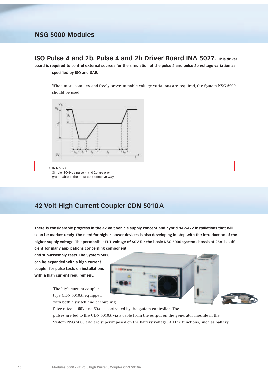## **ISO Pulse 4 and 2b. Pulse 4 and 2b Driver Board INA 5027. This driver**

**board is required to control external sources for the simulation of the pulse 4 and pulse 2b voltage variation as specified by ISO and SAE.**

When more complex and freely programmable voltage variations are required, the System NSG 5200 should be used.



Simple ISO-type pulse 4 and 2b are programmable in the most cost-effective way.

## **42 Volt High Current Coupler CDN 5010A**

**There is considerable progress in the 42 Volt vehicle supply concept and hybrid 14V/42V installations that will soon be market-ready. The need for higher power devices is also developing in step with the introduction of the higher supply voltage. The permissible EUT voltage of 60V for the basic NSG 5000 system chassis at 25A is sufficient for many applications concerning component**

**and sub-assembly tests. The System 5000 can be expanded with a high current coupler for pulse tests on installations with a high current requirement.**

> The high current coupler type CDN 5010A, equipped





with both a switch and decoupling

filter rated at 60V and 60A, is controlled by the system controller. The pulses are fed to the CDN 5010A via a cable from the output on the generator module in the System NSG 5000 and are superimposed on the battery voltage. All the functions, such as battery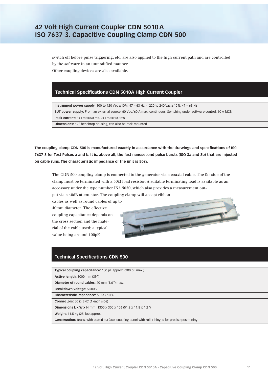switch off before pulse triggering, etc, are also applied to the high current path and are controlled by the software in an unmodified manner. Other coupling devices are also available.

### **Technical Specifications CDN 5010A High Current Coupler**

**Instrument power supply:** 100 to 120 Vac ± 10%, 47 – 63 Hz · 220 to 240 Vac ± 10%, 47 – 63 Hz

**EUT power supply:** From an external source, 60 Vdc/60 A max. continuous, Switching under software control, 60 A MCB

**Peak current:** 3x I max/50 ms, 2x I max/100 ms

**Dimensions:** 19" benchtop housing, can also be rack-mounted

**The coupling clamp CDN 500 is manufactured exactly in accordance with the drawings and specifications of IS0 7637-3 for Test Pulses a and b. It is, above all, the fast nanosecond pulse bursts (ISO 3a and 3b) that are injected on cable runs. The characteristic impedance of the unit is 50**Ω**.**

The CDN 500 coupling clamp is connected to the generator via a coaxial cable. The far side of the clamp must be terminated with a  $50\Omega$  load resistor. A suitable terminating load is available as an accessory under the type number INA 5030, which also provides a measurement out-

put via a 40dB attenuator. The coupling clamp will accept ribbon

cables as well as round cables of up to 40mm diameter. The effective coupling capacitance depends on the cross section and the material of the cable used; a typical value being around 100pF.



### **Technical Specifications CDN 500**

| Typical coupling capacitance: 100 pF approx. (200 pF max.)                                                 |
|------------------------------------------------------------------------------------------------------------|
| <b>Active length: 1000 mm (39")</b>                                                                        |
| Diameter of round cables: 40 mm (1.6") max.                                                                |
| Breakdown voltage: >500 V                                                                                  |
| Characteristic impedance: $50 \Omega \pm 10\%$                                                             |
| <b>Connectors:</b> 50 $\Omega$ BNC (1 each side)                                                           |
| <b>Dimensions L x W x H mm:</b> 1300 x 300 x 106 (51.2 x 11.8 x 4.2")                                      |
| Weight: $11.5$ kg (25 lbs) approx.                                                                         |
| <b>Construction:</b> Brass, with plated surface; coupling panel with roller hinges for precise positioning |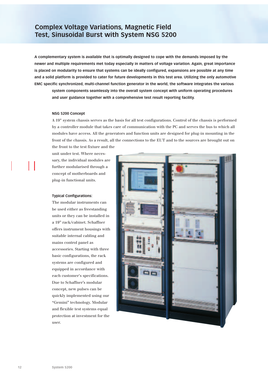# **Complex Voltage Variations, Magnetic Field Test, Sinusoidal Burst with System NSG 5200**

**A complementary system is available that is optimally designed to cope with the demands imposed by the newer and multiple requirements met today especially in matters of voltage variation. Again, great importance is placed on modularity to ensure that systems can be ideally configured, expansions are possible at any time and a solid platform is provided to cater for future developments in this test area. Utilizing the only automotive EMC specific synchronized, multi-channel function generator in the world, the software integrates the various**

**system components seamlessly into the overall system concept with uniform operating procedures and user guidance together with a comprehensive test result reporting facility.**

#### **NSG 5200 Concept**

A 19" system chassis serves as the basis for all test configurations. Control of the chassis is performed by a controller module that takes care of communication with the PC and serves the bus to which all modules have access. All the generators and function units are designed for plug-in mounting in the front of the chassis. As a result, all the connections to the EUT and to the sources are brought out on the front to the test fixture and the

unit under test. Where necessary, the individual modules are further modularised through a concept of motherboards and plug-in functional units.

#### **Typical Configurations:**

The modular instruments can be used either as freestanding units or they can be installed in a 19" rack/cabinet. Schaffner offers instrument housings with suitable internal cabling and mains control panel as accessories. Starting with three basic configurations, the rack systems are configured and equipped in accordance with each customer's specifications. Due to Schaffner's modular concept, new pulses can be quickly implemented using our "Gemini" technology. Modular and flexible test systems equal protection at investment for the user.

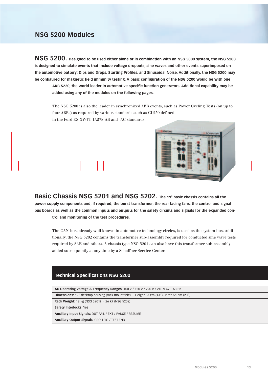**NSG 5200. Designed to be used either alone or in combination with an NSG 5000 system, the NSG 5200 is designed to simulate events that include voltage dropouts, sine waves and other events superimposed on the automotive battery: Dips and Drops, Starting Profiles, and Sinusoidal Noise. Additionally, the NSG 5200 may be configured for magnetic field immunity testing. A basic configuration of the NSG 5200 would be with one**

**ARB 5220, the world leader in automotive specific function generators. Additional capability may be added using any of the modules on the following pages.**

The NSG 5200 is also the leader in synchronized ARB events, such as Power Cycling Tests (on up to four ARBs) as required by various standards such as CI 230 defined in the Ford ES-XW7T-1A278-AB and -AC standards.



**Basic Chassis NSG 5201 and NSG 5202. The 19" basic chassis contains all the power supply components and, if required, the burst-transformer, the rear-facing fans, the control and signal bus boards as well as the common inputs and outputs for the safety circuits and signals for the expanded control and monitoring of the test procedures.**

The CAN-bus, already well known in automotive technology circles, is used as the system bus. Additionally, the NSG 5202 contains the transformer sub-assembly required for conducted sine wave tests required by SAE and others. A chassis type NSG 5201 can also have this transformer sub-assembly added subsequently at any time by a Schaffner Service Center.

### **Technical Specifications NSG 5200**

| AC Operating Voltage & Frequency Ranges: 100 V / 120 V / 220 V / 240 V 47 – 63 Hz                    |
|------------------------------------------------------------------------------------------------------|
| <b>Dimensions:</b> 19" desktop housing (rack mountable) $\cdot$ Height 33 cm (13") Depth 51 cm (20") |
| <b>Rack Weight:</b> 18 kg (NSG 5201) $\cdot$ 26 kg (NSG 5202)                                        |
| Safety Interlocks: Yes                                                                               |
| Auxiliary Input Signals: DUT FAIL / EXT / PAUSE / RESUME                                             |
| <b>Auxiliary Output Signals: CRO-TRIG / TEST-END</b>                                                 |
|                                                                                                      |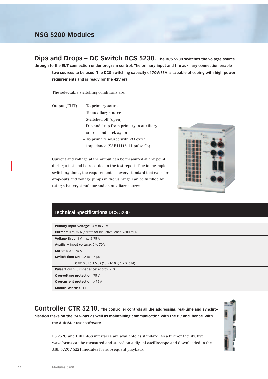**Dips and Drops – DC Switch DCS 5230. The DCS 5230 switches the voltage source through to the EUT connection under program-control. The primary input and the auxiliary connection enable two sources to be used. The DCS switching capacity of 70V/75A is capable of coping with high power requirements and is ready for the 42V era.**

The selectable switching conditions are:

Output (EUT) – To primary source

- To auxiliary source
- Switched off (open)
- Dip and drop from primary to auxiliary source and back again
- To primary source with 2Ω extra impedance (SAEJ1113-11 pulse 2b)

Current and voltage at the output can be measured at any point during a test and be recorded in the test report. Due to the rapid switching times, the requirements of every standard that calls for drop-outs and voltage jumps in the µs range can be fulfilled by using a battery simulator and an auxiliary source.



### **Technical Specifications DCS 5230**

| Primary Input Voltage: -4 V to 70 V                               |
|-------------------------------------------------------------------|
| <b>Current:</b> 0 to 75 A (derate for inductive loads $>$ 300 mH) |
| Voltage Drop: 1 V max @ 75 A                                      |
| Auxiliary input voltage: 0 to 70 V                                |
| Current: $0$ to 75 A                                              |
| Switch time ON: $0.2$ to $1.5$ $\mu s$                            |
| <b>OFF:</b> 0.5 to 1.5 µs (13.5 to 0 V, 1 K $\Omega$ load)        |
| <b>Pulse 2 output impedance:</b> approx. 2 $\Omega$               |
| <b>Overvoltage protection: 75 V</b>                               |
| <b>Overcurrent protection: &gt; 75 A</b>                          |
| Module width: 40 HP                                               |

**Controller CTR 5210. The controller controls all the addressing, real-time and synchronisation tasks on the CAN-bus as well as maintaining communication with the PC and, hence, with the AutoStar user-software.**



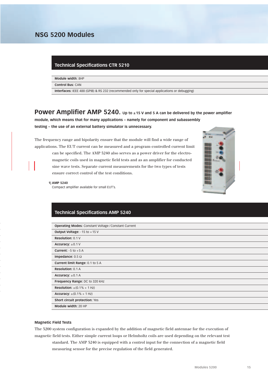#### **Technical Specifications CTR 5210**

**Module width:** 8HP

**Control Bus:** CAN

**Interfaces:** IEEE 488 (GPIB) & RS 232 (recommended only for special applications or debugging)

**POWEr Amplifier AMP 5240.** Up to ±15 V and 5 A can be delivered by the power amplifier **module, which means that for many applications – namely for component and subassembly testing – the use of an external battery simulator is unnecessary.**

The frequency range and bipolarity ensure that the module will find a wide range of applications. The EUT current can be measured and a program-controlled current limit can be specified. The AMP 5240 also serves as a power driver for the electromagnetic coils used in magnetic field tests and as an amplifier for conducted sine wave tests. Separate current measurements for the two types of tests ensure correct control of the test conditions.



#### **1| AMP 5240**

Compact amplifier available for small EUT's.

### **Technical Specifications AMP 5240**

| <b>Operating Modes: Constant Voltage / Constant Current</b> |
|-------------------------------------------------------------|
| Output Voltage: $-15$ to $+15$ V                            |
| <b>Resolution: 0.1 V</b>                                    |
| Accuracy: $\pm 0.1$ V                                       |
| <b>Current:</b> $-5$ to $+5$ A                              |
| Impedance: $0.5 \Omega$                                     |
| <b>Current limit Range: 0.1 to 5 A</b>                      |
| <b>Resolution: 0.1 A</b>                                    |
| Accuracy: $\pm 0.1$ A                                       |
| Frequency Range: DC to 320 kHz                              |
| <b>Resolution:</b> $\pm$ (0.1% + 1 Hz)                      |
| <b>Accuracy:</b> $\pm (0.1\% + 1 \text{ Hz})$               |
| Short circuit protection: Yes                               |
| Module width: 20 HP                                         |
|                                                             |

#### **Magnetic Field Tests**

The 5200 system configuration is expanded by the addition of magnetic field antennae for the execution of magnetic field tests. Either simple current loops or Helmholtz coils are used depending on the relevant test standard. The AMP 5240 is equipped with a control input for the connection of a magnetic field measuring sensor for the precise regulation of the field generated.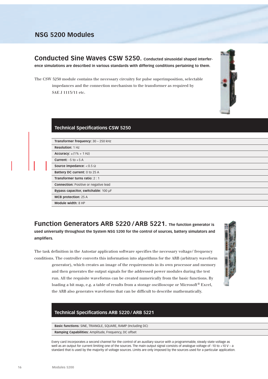**Conducted Sine Waves CSW 5250. Conducted sinusoidal shaped interference simulations are described in various standards with differing conditions pertaining to them.**

The CSW 5250 module contains the necessary circuitry for pulse superimposition, selectable impedances and the connection mechanism to the transformer as required by SAE J 1113/11 etc.

### **Technical Specifications CSW 5250**

**Transformer frequency:** 30 – 250 kHz **Resolution:** 1 Hz

**Accuracy:**  $\pm(1\% + 1\text{ Hz})$ 

**Current:** -5 to +5 A

**Source impedance:** < 0.5 Ω **Battery DC current:** 0 to 25 A

**Transformer turns ratio:** 2 : 1

**Connection:** Positive or negative lead

**Bypass capacitor, switchable:** 100 µF

**MCB protection:** 25 A

**Module width:** 8 HP

**Function Generators ARB 5220 /ARB 5221. The function generator is used universally throughout the System NSG 5200 for the control of sources, battery simulators and amplifiers.**

The task definition in the Autostar application software specifies the necessary voltage/ frequency conditions. The controller converts this information into algorithms for the ARB (arbitrary waveform

generator), which creates an image of the requirements in its own processor and memory and then generates the output signals for the addressed power modules during the test run. All the requisite waveforms can be created numerically from the basic functions. By loading a bit map, e.g. a table of results from a storage oscilloscope or Microsoft ® Excel, the ARB also generates waveforms that can be difficult to describe mathematically.

### **Technical Specifications ARB 5220 / ARB 5221**

**Basic functions:** SINE, TRIANGLE, SQUARE, RAMP (Including DC)

**Ramping Capabilities:** Amplitude, Frequency, DC offset

Every card incorporates a second channel for the control of an auxiliary source with a programmable, steady state voltage as well as an output for current limiting one of the sources. The main output signal consists of analogue voltage of -10 to +10 V – a standard that is used by the majority of voltage sources. Limits are only imposed by the sources used for a particular application.



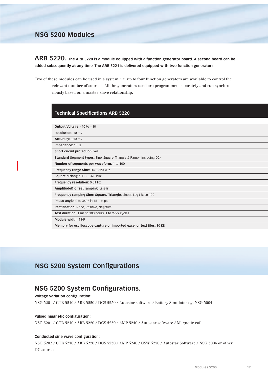**ARB 5220. The ARB 5220 is a module equipped with a function generator board. A second board can be added subsequently at any time. The ARB 5221 is delivered equipped with two function generators.**

Two of these modules can be used in a system, i.e. up to four function generators are available to control the relevant number of sources. All the generators used are programmed separately and run synchronously based on a master-slave relationship.

### **Technical Specifications ARB 5220**

| <b>Output Voltage:</b> $-10$ to $+10$                                       |
|-----------------------------------------------------------------------------|
| Resolution: 10 mV                                                           |
| Accuracy: $\pm$ 10 mV                                                       |
| Impedance: 10 $\Omega$                                                      |
| Short circuit protection: Yes                                               |
| <b>Standard Segment types:</b> Sine, Square, Triangle & Ramp (including DC) |
| Number of segments per waveform: 1 to 100                                   |
| Frequency range Sine: DC - 320 kHz                                          |
| Square /Triangle: DC - 320 kHz                                              |
| Frequency resolution: 0.01 Hz                                               |
| Amplitude& offset ramping: Linear                                           |
| Frequency ramping Sine/ Square/ Triangle: Linear, Log (Base 10)             |
| <b>Phase angle:</b> 0 to 360° in 15° steps                                  |
| Rectification: None, Positive, Negative                                     |
| Test duration: 1 ms to 100 hours, 1 to 9999 cycles                          |
| Module width: 4 HP                                                          |
| Memory for oscilloscope capture or imported excel or text files: 80 KB      |

# **NSG 5200 System Configurations**

## **NSG 5200 System Configurations.**

#### **Voltage variation configuration:**

NSG 5201 / CTR 5210 / ARB 5220 / DCS 5230 / Autostar software / Battery Simulator eg. NSG 5004

#### **Pulsed magnetic configuration:**

NSG 5201 / CTR 5210 / ARB 5220 / DCS 5230 / AMP 5240 / Autostar software / Magnetic coil

#### **Conducted sine wave configuration:**

NSG 5202 / CTR 5210 / ARB 5220 / DCS 5230 / AMP 5240 / CSW 5250 / Autostar Software / NSG 5004 or other DC source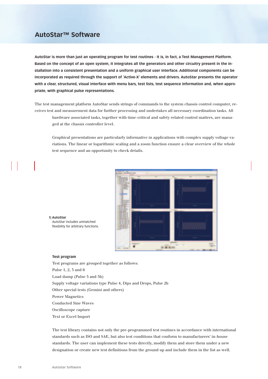## **AutoStar™ Software**

**AutoStar is more than just an operating program for test routines - it is, in fact, a Test Management Platform. Based on the concept of an open system, it integrates all the generators and other circuitry present in the installation into a consistent presentation and a uniform graphical user interface. Additional components can be incorporated as required through the support of 'Active-X' elements and drivers. AutoStar presents the operator with a clear, structured, visual interface with menu bars, test lists, test sequence information and, when appropriate, with graphical pulse representations.**

The test management platform AutoStar sends strings of commands to the system chassis control computer, receives test and measurement data for further processing and undertakes all necessary coordination tasks. All hardware associated tasks, together with time-critical and safety related control matters, are managed at the chassis controller level.

Graphical presentations are particularly informative in applications with complex supply voltage variations. The linear or logarithmic scaling and a zoom function ensure a clear overview of the whole test sequence and an opportunity to check details.



#### **1| AutoStar**

#### **Test program**

Test programs are grouped together as follows: Pulse 1, 2, 3 and 6 Load dump (Pulse 5 and 5b) Supply voltage variations type Pulse 4, Dips and Drops, Pulse 2b Other special tests (Gemini and others) Power Magnetics Conducted Sine Waves Oscilloscope capture Text or Excel Import

The test library contains not only the pre-programmed test routines in accordance with international standards such as ISO and SAE, but also test conditions that conform to manufacturers' in-house standards. The user can implement these tests directly, modify them and store them under a new designation or create new test definitions from the ground up and include them in the list as well.

AutoStar includes unmatched flexibility for arbitrary functions.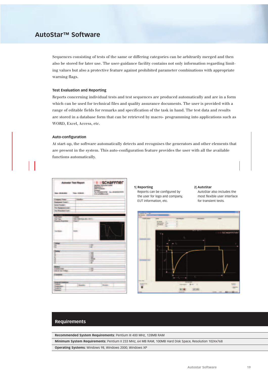## **AutoStar™ Software**

Sequences consisting of tests of the same or differing categories can be arbitrarily merged and then also be stored for later use. The user-guidance facility contains not only information regarding limiting values but also a protective feature against prohibited parameter combinations with appropriate warning flags.

#### **Test Evaluation and Reporting**

Reports concerning individual tests and test sequences are produced automatically and are in a form which can be used for technical files and quality assurance documents. The user is provided with a range of editable fields for remarks and specification of the task in hand. The test data and results are stored in a database form that can be retrieved by macro- programming into applications such as WORD, Excel, Access, etc.

#### **Auto-configuration**

At start-up, the software automatically detects and recognises the generators and other elements that are present in the system. This auto-configuration feature provides the user with all the available functions automatically.

| <b>Similar</b><br><b>Isrical Provider</b><br>Trat: Exprimered week :<br><b>Sar Francisco Cast</b> /<br><b>Limited</b><br><b>Little</b><br>THE WAY FOR THE T<br><b>Count I</b><br><b>START START</b><br><b>BABLE</b><br><b><i><u>Instruction</u></i></b><br><b>The Second</b><br>₽<br><b>Industrial</b><br>m<br>m<br>w<br><b>Limit</b><br>is en<br>Ш<br><b>Barker</b><br>珊<br><b>L'antoni Luogo</b><br>Łю<br><u><b>Conserved &amp; constrainers</b></u><br><b>Business</b><br>٠<br><b>Black</b><br><b>Formal for</b> | <b>III</b> schaffner<br><b>Autostar Test Report</b><br>٠<br><b>Taky/Ree Dist</b><br>Rational D<br><b>MAPY Normalize</b><br><b>Derabate</b><br>No-Roomerse to commercial<br>San 19-24-0000 - Texas 19-24-25<br>antalettestan |  |  |  |
|---------------------------------------------------------------------------------------------------------------------------------------------------------------------------------------------------------------------------------------------------------------------------------------------------------------------------------------------------------------------------------------------------------------------------------------------------------------------------------------------------------------------|-----------------------------------------------------------------------------------------------------------------------------------------------------------------------------------------------------------------------------|--|--|--|
|                                                                                                                                                                                                                                                                                                                                                                                                                                                                                                                     | <b>FIRMING TANK!</b>                                                                                                                                                                                                        |  |  |  |
|                                                                                                                                                                                                                                                                                                                                                                                                                                                                                                                     | <b>Equipment Tensil</b> 1                                                                                                                                                                                                   |  |  |  |
|                                                                                                                                                                                                                                                                                                                                                                                                                                                                                                                     |                                                                                                                                                                                                                             |  |  |  |
|                                                                                                                                                                                                                                                                                                                                                                                                                                                                                                                     |                                                                                                                                                                                                                             |  |  |  |
|                                                                                                                                                                                                                                                                                                                                                                                                                                                                                                                     |                                                                                                                                                                                                                             |  |  |  |
|                                                                                                                                                                                                                                                                                                                                                                                                                                                                                                                     |                                                                                                                                                                                                                             |  |  |  |
|                                                                                                                                                                                                                                                                                                                                                                                                                                                                                                                     | Total Rayman                                                                                                                                                                                                                |  |  |  |
|                                                                                                                                                                                                                                                                                                                                                                                                                                                                                                                     |                                                                                                                                                                                                                             |  |  |  |
|                                                                                                                                                                                                                                                                                                                                                                                                                                                                                                                     |                                                                                                                                                                                                                             |  |  |  |
|                                                                                                                                                                                                                                                                                                                                                                                                                                                                                                                     |                                                                                                                                                                                                                             |  |  |  |
|                                                                                                                                                                                                                                                                                                                                                                                                                                                                                                                     |                                                                                                                                                                                                                             |  |  |  |
|                                                                                                                                                                                                                                                                                                                                                                                                                                                                                                                     |                                                                                                                                                                                                                             |  |  |  |
|                                                                                                                                                                                                                                                                                                                                                                                                                                                                                                                     |                                                                                                                                                                                                                             |  |  |  |
|                                                                                                                                                                                                                                                                                                                                                                                                                                                                                                                     |                                                                                                                                                                                                                             |  |  |  |
|                                                                                                                                                                                                                                                                                                                                                                                                                                                                                                                     |                                                                                                                                                                                                                             |  |  |  |
|                                                                                                                                                                                                                                                                                                                                                                                                                                                                                                                     |                                                                                                                                                                                                                             |  |  |  |
|                                                                                                                                                                                                                                                                                                                                                                                                                                                                                                                     |                                                                                                                                                                                                                             |  |  |  |
|                                                                                                                                                                                                                                                                                                                                                                                                                                                                                                                     |                                                                                                                                                                                                                             |  |  |  |
|                                                                                                                                                                                                                                                                                                                                                                                                                                                                                                                     |                                                                                                                                                                                                                             |  |  |  |
|                                                                                                                                                                                                                                                                                                                                                                                                                                                                                                                     |                                                                                                                                                                                                                             |  |  |  |
|                                                                                                                                                                                                                                                                                                                                                                                                                                                                                                                     |                                                                                                                                                                                                                             |  |  |  |
|                                                                                                                                                                                                                                                                                                                                                                                                                                                                                                                     |                                                                                                                                                                                                                             |  |  |  |
|                                                                                                                                                                                                                                                                                                                                                                                                                                                                                                                     |                                                                                                                                                                                                                             |  |  |  |
|                                                                                                                                                                                                                                                                                                                                                                                                                                                                                                                     |                                                                                                                                                                                                                             |  |  |  |
|                                                                                                                                                                                                                                                                                                                                                                                                                                                                                                                     | <b>East of Test Visita</b> ge                                                                                                                                                                                               |  |  |  |
|                                                                                                                                                                                                                                                                                                                                                                                                                                                                                                                     | <b>Limited St</b>                                                                                                                                                                                                           |  |  |  |
|                                                                                                                                                                                                                                                                                                                                                                                                                                                                                                                     |                                                                                                                                                                                                                             |  |  |  |
|                                                                                                                                                                                                                                                                                                                                                                                                                                                                                                                     |                                                                                                                                                                                                                             |  |  |  |
|                                                                                                                                                                                                                                                                                                                                                                                                                                                                                                                     |                                                                                                                                                                                                                             |  |  |  |
|                                                                                                                                                                                                                                                                                                                                                                                                                                                                                                                     |                                                                                                                                                                                                                             |  |  |  |

#### **1| Reporting** Reports can be configured by the user for logo and company, EUT information, etc.

#### **2| AutoStar**

AutoStar also includes the most flexible user interface for transient tests.



### **Requirements**

**Recommended System Requirements:** Pentium III 400 MHz, 128MB RAM

**Minimum System Requirements:** Pentium II 233 MHz, 64 MB RAM, 100MB Hard Disk Space, Resolution 1024x768

**Operating Systems:** Windows 98, Windows 2000, Windows XP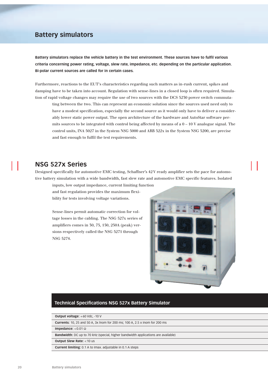## **Battery simulators**

**Battery simulators replace the vehicle battery in the test environment. These sources have to fulfil various criteria concerning power rating, voltage, slew rate, impedance, etc. depending on the particular application. Bi-polar current sources are called for in certain cases.**

Furthermore, reactions to the EUT's characteristics regarding such matters as in-rush current, spikes and damping have to be taken into account. Regulation with sense-lines in a closed loop is often required. Simulation of rapid voltage changes may require the use of two sources with the DCS 5230 power switch commuta-

ting between the two. This can represent an economic solution since the sources used need only to have a modest specification, especially the second source as it would only have to deliver a considerably lower static power output. The open architecture of the hardware and AutoStar software permits sources to be integrated with control being affected by means of a  $0 - 10$  V analogue signal. The control units, INA 5027 in the System NSG 5000 and ARB 522x in the System NSG 5200, are precise and fast enough to fulfil the test requirements.

## **NSG 527x Series**

Designed specifically for automotive EMC testing, Schaffner's 42 V ready amplifier sets the pace for automotive battery simulation with a wide bandwidth, fast slew rate and automotive EMC specific features. Isolated

inputs, low output impedance, current limiting function and fast regulation provides the maximum flexibility for tests involving voltage variations.

Sense-lines permit automatic correction for voltage losses in the cabling. The NSG 527x series of amplifiers comes in 30, 75, 150, 250A (peak) versions respectively called the NSG 5271 through NSG 5274.



### **Technical Specifications NSG 527x Battery Simulator**

**Output voltage:** +60 Vdc, -10 V

**Currents:** 10, 25 and 50 A, 3x lnom for 200 ms; 100 A, 2.5 x Inom for 200 ms

**Impedance:** <0.01 Ω

**Bandwidth:** DC up to 70 kHz (special, higher bandwidth applications are available)

**Output Slew Rate:** <10 us

**Current limiting:** 0.1 A to Imax. adjustable in 0.1 A steps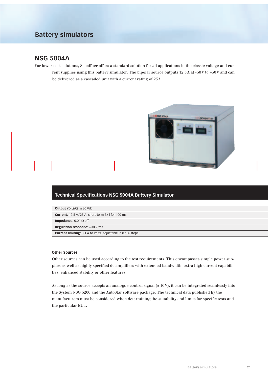## **Battery simulators**

## **NSG 5004A**

For lower cost solutions, Schaffner offers a standard solution for all applications in the classic voltage and current supplies using this battery simulator. The bipolar source outputs 12.5A at -30V to +30V and can be delivered as a cascaded unit with a current rating of 25A.



### **Technical Specifications NSG 5004A Battery Simulator**

| <b>Output voltage:</b> $\pm 30$ Vdc                               |
|-------------------------------------------------------------------|
| <b>Current:</b> 12.5 A/25 A, short-term 3x I for 100 ms           |
| <b>Impedance:</b> 0.01 $\Omega$ eff.                              |
| <b>Regulation response:</b> $\leq 30$ V/ms                        |
| <b>Current limiting:</b> 0.1 A to Imax. adjustable in 0.1 A steps |

#### **Other Sources**

Other sources can be used according to the test requirements. This encompasses simple power supplies as well as highly specified dc amplifiers with extended bandwidth, extra high current capabilities, enhanced stability or other features.

As long as the source accepts an analogue control signal  $(\pm 10V)$ , it can be integrated seamlessly into the System NSG 5200 and the AutoStar software package. The technical data published by the manufacturers must be considered when determining the suitability and limits for specific tests and the particular EUT.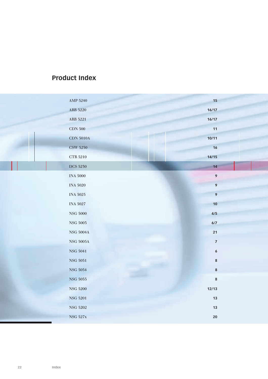# **Product Index**

| ARB 5220<br>16/17<br>ARB 5221<br>16/17 |  |
|----------------------------------------|--|
|                                        |  |
|                                        |  |
| <b>CDN 500</b><br>11                   |  |
| 10/11<br>CDN $5010\mbox{\AA}$          |  |
| <b>CSW 5250</b><br>16                  |  |
| 14/15<br>$\rm CTR$ 5210                |  |
| <b>DCS 5230</b><br>14                  |  |
| $\pmb{9}$<br>INA $5000\,$              |  |
| $\mathbf{9}$<br>INA $5020\,$           |  |
| $\overline{9}$<br><b>INA 5025</b>      |  |
| INA $5027\,$<br>10                     |  |
| ${\rm NSG}$ 5000<br>4/5                |  |
| NSG $5005\,$<br>6/7                    |  |
| 21<br>NSG $5004\mbox{\AA}$             |  |
| NSG $5005\mbox{\AA}$<br>$\overline{7}$ |  |
| <b>NSG 5041</b><br>$\boldsymbol{6}$    |  |
| <b>NSG 5051</b><br>$\bf 8$             |  |
| NSG 5054<br>$\bf 8$                    |  |
| ${\rm NSG}$ 5055<br>$\bf 8$            |  |
| <b>NSG 5200</b><br>12/13               |  |
| <b>NSG 5201</b><br>13                  |  |
|                                        |  |
| ${\rm NSG}$ 5202<br>13                 |  |